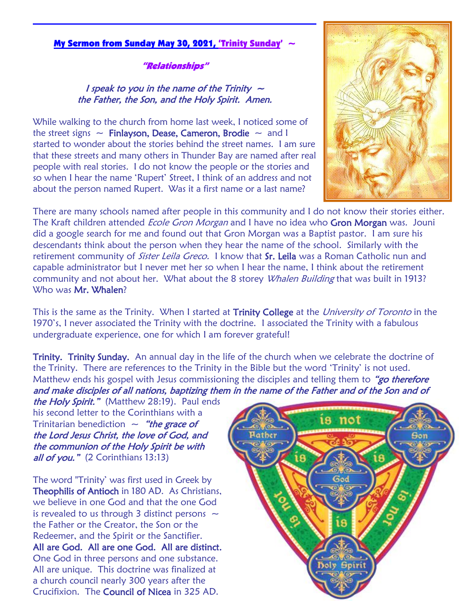# My Sermon from Sunday May 30, 2021, 'Trinity Sunday' ~

#### "Relationships"

### I speak to you in the name of the Trinity  $\sim$ the Father, the Son, and the Holy Spirit. Amen.

While walking to the church from home last week, I noticed some of the street signs  $\sim$  Finlayson, Dease, Cameron, Brodie  $\sim$  and I started to wonder about the stories behind the street names. I am sure that these streets and many others in Thunder Bay are named after real people with real stories. I do not know the people or the stories and so when I hear the name 'Rupert' Street, I think of an address and not about the person named Rupert. Was it a first name or a last name?



There are many schools named after people in this community and I do not know their stories either. The Kraft children attended *Ecole Gron Morgan* and I have no idea who Gron Morgan was. Jouni did a google search for me and found out that Gron Morgan was a Baptist pastor. I am sure his descendants think about the person when they hear the name of the school. Similarly with the retirement community of *Sister Leila Greco.* I know that Sr. Leila was a Roman Catholic nun and capable administrator but I never met her so when I hear the name, I think about the retirement community and not about her. What about the 8 storey *Whalen Building* that was built in 1913? Who was **Mr. Whalen?** 

This is the same as the Trinity. When I started at Trinity College at the University of Toronto in the 1970's, I never associated the Trinity with the doctrine. I associated the Trinity with a fabulous undergraduate experience, one for which I am forever grateful!

Trinity. Trinity Sunday. An annual day in the life of the church when we celebrate the doctrine of the Trinity. There are references to the Trinity in the Bible but the word 'Trinity' is not used. Matthew ends his gospel with Jesus commissioning the disciples and telling them to "*go therefore* and make disciples of all nations, baptizing them in the name of the Father and of the Son and of

the Holy Spirit." (Matthew 28:19). Paul ends his second letter to the Corinthians with a Trinitarian benediction  $\sim$  "the grace of the Lord Jesus Christ, the love of God, and the communion of the Holy Spirit be with all of you." (2 Corinthians 13:13)

The word "Trinity' was first used in Greek by Theophilis of Antioch in 180 AD. As Christians, we believe in one God and that the one God is revealed to us through 3 distinct persons  $\sim$ the Father or the Creator, the Son or the Redeemer, and the Spirit or the Sanctifier. All are God. All are one God. All are distinct. One God in three persons and one substance. All are unique. This doctrine was finalized at a church council nearly 300 years after the Crucifixion. The Council of Nicea in 325 AD.

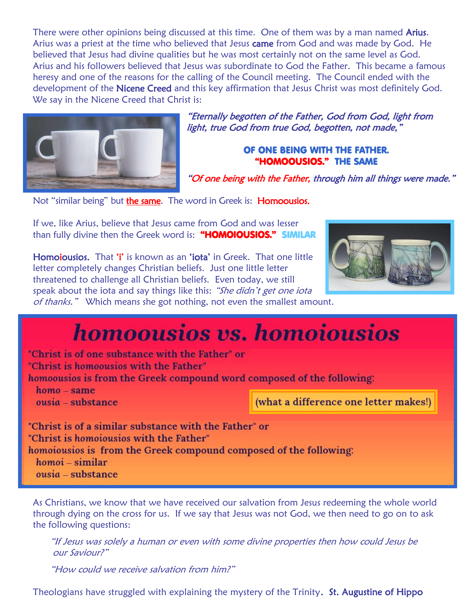There were other opinions being discussed at this time. One of them was by a man named **Arius.** Arius was a priest at the time who believed that Jesus came from God and was made by God. He believed that Jesus had divine qualities but he was most certainly not on the same level as God. Arius and his followers believed that Jesus was subordinate to God the Father. This became a famous heresy and one of the reasons for the calling of the Council meeting. The Council ended with the development of the Nicene Creed and this key affirmation that Jesus Christ was most definitely God. We say in the Nicene Creed that Christ is:



"Eternally begotten of the Father, God from God, light from light, true God from true God, begotten, not made,"

## OF ONE BEING WITH THE FATHER. "HOMOOUSIOS." THE SAME

"Of one being with the Father, through him all things were made."

Not "similar being" but the same. The word in Greek is: Homoousios.

If we, like Arius, believe that Jesus came from God and was lesser than fully divine then the Greek word is: "HOMOIOUSIOS." SIMILAR

Homoiousios. That 'i' is known as an 'iota' in Greek. That one little letter completely changes Christian beliefs. Just one little letter threatened to challenge all Christian beliefs. Even today, we still speak about the iota and say things like this: "She didn't get one iota of thanks." Which means she got nothing, not even the smallest amount.



# **homoousios vs. homoiousios**

"Christ is of one substance with the Father" or "Christ is homoousios with the Father" homoousios is from the Greek compound word composed of the following:  $homo - same$ 

 $ousia$  – substance

(what a difference one letter makes!)

"Christ is of a similar substance with the Father" or "Christ is homoiousios with the Father" homoiousios is from the Greek compound composed of the following:  $homoi - similar$  $ousia = substance$ 

As Christians, we know that we have received our salvation from Jesus redeeming the whole world through dying on the cross for us. If we say that Jesus was not God, we then need to go on to ask the following questions:

"If Jesus was solely a human or even with some divine properties then how could Jesus be our Saviour?"

"How could we receive salvation from him?"

Theologians have struggled with explaining the mystery of the Trinity. St. Augustine of Hippo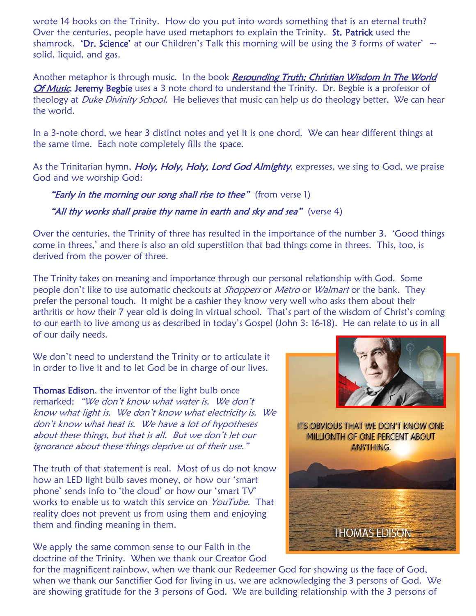wrote 14 books on the Trinity. How do you put into words something that is an eternal truth? Over the centuries, people have used metaphors to explain the Trinity. St. Patrick used the shamrock. **'Dr. Science'** at our Children's Talk this morning will be using the 3 forms of water'  $\sim$ solid, liquid, and gas.

Another metaphor is through music. In the book Resounding Truth; Christian Wisdom In The World Of Music, Jeremy Begbie uses a 3 note chord to understand the Trinity. Dr. Begbie is a professor of theology at *Duke Divinity School*. He believes that music can help us do theology better. We can hear the world.

In a 3-note chord, we hear 3 distinct notes and yet it is one chord. We can hear different things at the same time. Each note completely fills the space.

As the Trinitarian hymn, *Holy, Holy, Holy, Lord God Almighty*, expresses, we sing to God, we praise God and we worship God:

**"Early in the morning our song shall rise to thee"** (from verse 1) "All thy works shall praise thy name in earth and sky and sea" (verse 4)

Over the centuries, the Trinity of three has resulted in the importance of the number 3. 'Good things come in threes,' and there is also an old superstition that bad things come in threes. This, too, is derived from the power of three.

The Trinity takes on meaning and importance through our personal relationship with God. Some people don't like to use automatic checkouts at *Shoppers* or *Metro* or *Walmart* or the bank. They prefer the personal touch. It might be a cashier they know very well who asks them about their arthritis or how their 7 year old is doing in virtual school. That's part of the wisdom of Christ's coming to our earth to live among us as described in today's Gospel (John 3: 16-18). He can relate to us in all of our daily needs.

We don't need to understand the Trinity or to articulate it in order to live it and to let God be in charge of our lives.

Thomas Edison, the inventor of the light bulb once remarked: "We don't know what water is. We don't know what light is. We don't know what electricity is. We don't know what heat is. We have a lot of hypotheses about these things, but that is all. But we don't let our ignorance about these things deprive us of their use."

The truth of that statement is real. Most of us do not know how an LED light bulb saves money, or how our 'smart phone' sends info to 'the cloud' or how our 'smart TV' works to enable us to watch this service on YouTube. That reality does not prevent us from using them and enjoying them and finding meaning in them.

We apply the same common sense to our Faith in the doctrine of the Trinity. When we thank our Creator God



for the magnificent rainbow, when we thank our Redeemer God for showing us the face of God, when we thank our Sanctifier God for living in us, we are acknowledging the 3 persons of God. We are showing gratitude for the 3 persons of God. We are building relationship with the 3 persons of